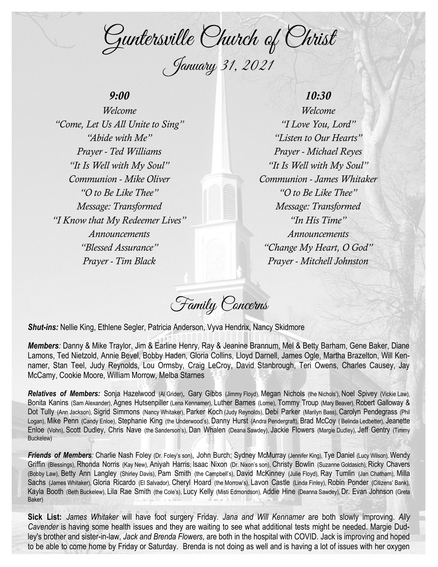Guntersville Church of Christ January 31, 2021

## *9:00*

*Welcome "Come, Let Us All Unite to Sing" "Abide with Me" Prayer - Ted Williams "It Is Well with My Soul" Communion - Mike Oliver "O to Be Like Thee" Message: Transformed "I Know that My Redeemer Lives" Announcements "Blessed Assurance" Prayer - Tim Black*

## *10:30*

*Welcome "I Love You, Lord" "Listen to Our Hearts" Prayer - Michael Reyes "It Is Well with My Soul" Communion - James Whitaker "O to Be Like Thee" Message: Transformed "In His Time" Announcements "Change My Heart, O God" Prayer - Mitchell Johnston*

Family Concerns

*Shut-ins:* Nellie King, Ethlene Segler, Patricia Anderson, Vyva Hendrix, Nancy Skidmore

*Members:* Danny & Mike Traylor, Jim & Earline Henry, Ray & Jeanine Brannum, Mel & Betty Barham, Gene Baker, Diane Lamons, Ted Nietzold, Annie Bevel, Bobby Haden, Gloria Collins, Lloyd Darnell, James Ogle, Martha Brazelton, Will Kennamer, Stan Teel, Judy Reynolds, Lou Ormsby, Craig LeCroy, David Stanbrough, Teri Owens, Charles Causey, Jay McCamy, Cookie Moore, William Morrow, Melba Starnes

*Relatives of Members:* Sonja Hazelwood (Al Grider), Gary Gibbs (Jimmy Floyd), Megan Nichols (the Nichols'), Noel Spivey (Vickie Law), Bonita Kanins (Sam Alexander), Agnes Hutsenpiller (Lena Kennamer), Luther Barnes (Lorne), Tommy Troup (Mary Beaver), Robert Galloway & Dot Tully (Ann Jackson), Sigrid Simmons (Nancy Whitaker), Parker Koch (Judy Reynolds), Debi Parker (Marilyn Bass), Carolyn Pendegrass (Phil Logan), Mike Penn (Candy Enloe), Stephanie King (the Underwood's), Danny Hurst (Andra Pendergraft), Brad McCoy ( Belinda Ledbetter), Jeanette Enloe (Vohn), Scott Dudley, Chris Nave (the Sanderson's), Dan Whalen (Deana Sawdey), Jackie Flowers (Margie Dudley), Jeff Gentry (Timmy Buckelew)

*Friends of Members:* Charlie Nash Foley (Dr. Foley's son), John Burch; Sydney McMurray (Jennifer King), Tye Daniel (Lucy Wilson), Wendy Griffin (Blessings), Rhonda Norris (Kay New), Aniyah Harris; Isaac Nixon (Dr. Nixon's son), Christy Bowlin (Suzanne Goldasich), Ricky Chavers (Bobby Law), Betty Ann Langley (Shirley Davis), Pam Smith (the Campbell's), David McKinney (Julie Floyd), Ray Tumlin (Jan Chatham), Milla Sachs (James Whitaker), Gloria Ricardo (El Salvador), Cheryl Hoard (the Morrow's), Lavon Castle (Linda Finley), Robin Ponder (Citizens' Bank), Kayla Booth (Beth Buckelew), Lila Rae Smith (the Cole's), Lucy Kelly (Misti Edmondson), Addie Hine (Deanna Sawdey), Dr. Evan Johnson (Greta Baker)

**Sick List:** *James Whitaker* will have foot surgery Friday. *Jana and Will Kennamer* are both slowly improving. *Ally Cavender* is having some health issues and they are waiting to see what additional tests might be needed. Margie Dudley's brother and sister-in-law, *Jack and Brenda Flowers*, are both in the hospital with COVID. Jack is improving and hoped to be able to come home by Friday or Saturday. Brenda is not doing as well and is having a lot of issues with her oxygen